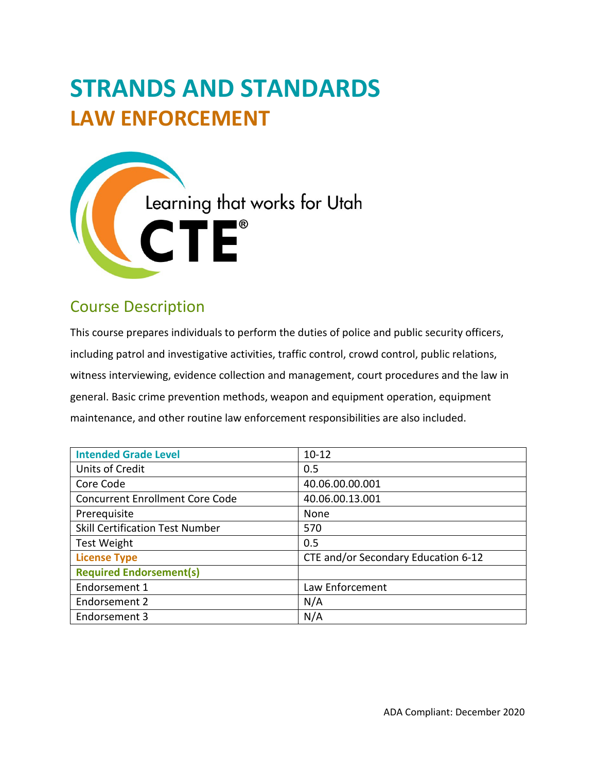# **STRANDS AND STANDARDS LAW ENFORCEMENT**



## Course Description

 This course prepares individuals to perform the duties of police and public security officers, including patrol and investigative activities, traffic control, crowd control, public relations, witness interviewing, evidence collection and management, court procedures and the law in general. Basic crime prevention methods, weapon and equipment operation, equipment maintenance, and other routine law enforcement responsibilities are also included.

| <b>Intended Grade Level</b>            | $10 - 12$                           |
|----------------------------------------|-------------------------------------|
| Units of Credit                        | 0.5                                 |
| Core Code                              | 40.06.00.00.001                     |
| <b>Concurrent Enrollment Core Code</b> | 40.06.00.13.001                     |
| Prerequisite                           | None                                |
| <b>Skill Certification Test Number</b> | 570                                 |
| <b>Test Weight</b>                     | 0.5                                 |
| <b>License Type</b>                    | CTE and/or Secondary Education 6-12 |
| <b>Required Endorsement(s)</b>         |                                     |
| Endorsement 1                          | Law Enforcement                     |
| Endorsement 2                          | N/A                                 |
| Endorsement 3                          | N/A                                 |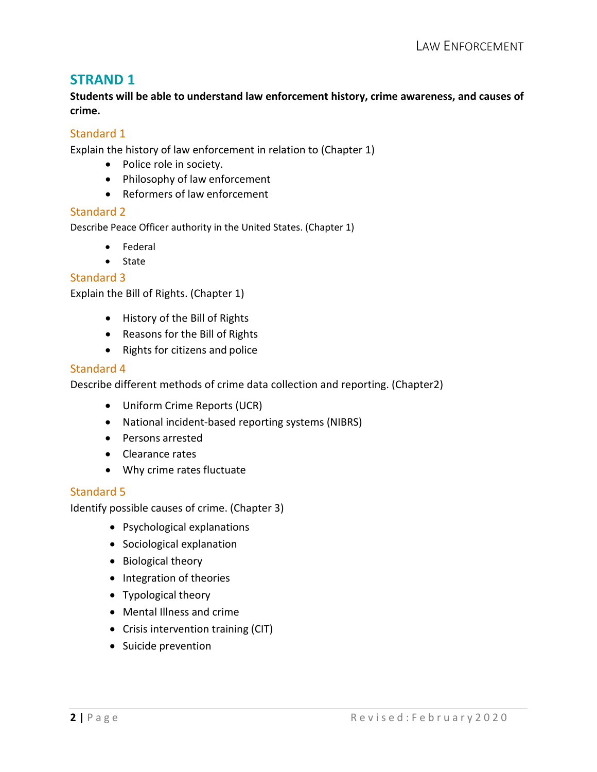**Students will be able to understand law enforcement history, crime awareness, and causes of crime.** 

#### Standard 1

Explain the history of law enforcement in relation to (Chapter 1)

- Police role in society.
- Philosophy of law enforcement
- Reformers of law enforcement

#### Standard 2

Describe Peace Officer authority in the United States. (Chapter 1)

- Federal
- State

#### Standard 3

Explain the Bill of Rights. (Chapter 1)

- History of the Bill of Rights
- Reasons for the Bill of Rights
- Rights for citizens and police

#### Standard 4

Describe different methods of crime data collection and reporting. (Chapter2)

- Uniform Crime Reports (UCR)
- National incident-based reporting systems (NIBRS)
- Persons arrested
- Clearance rates
- Why crime rates fluctuate

#### Standard 5

Identify possible causes of crime. (Chapter 3)

- Psychological explanations
- Sociological explanation
- Biological theory
- Integration of theories
- Typological theory
- Mental Illness and crime
- Crisis intervention training (CIT)
- Suicide prevention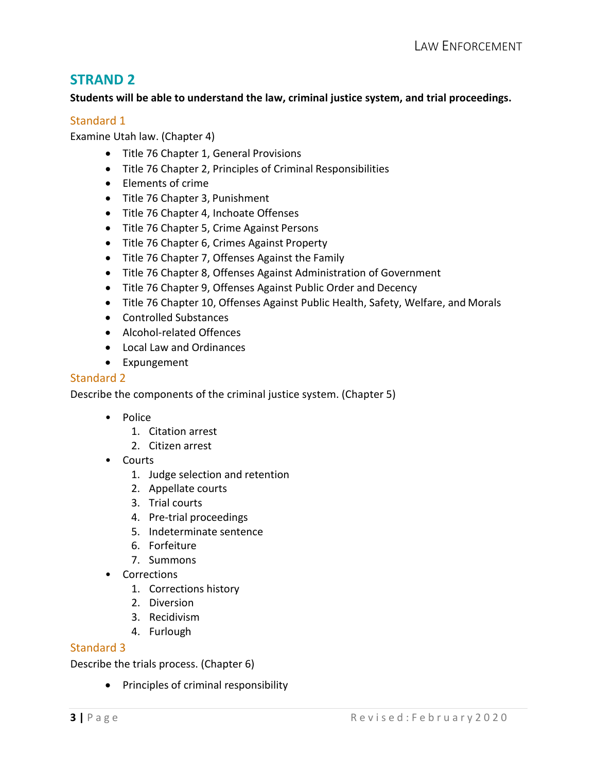#### **Students will be able to understand the law, criminal justice system, and trial proceedings.**

#### Standard 1

Examine Utah law. (Chapter 4)

- Title 76 Chapter 1, General Provisions
- Title 76 Chapter 2, Principles of Criminal Responsibilities
- Elements of crime
- Title 76 Chapter 3, Punishment
- Title 76 Chapter 4, Inchoate Offenses
- Title 76 Chapter 5, Crime Against Persons
- Title 76 Chapter 6, Crimes Against Property
- Title 76 Chapter 7, Offenses Against the Family
- Title 76 Chapter 8, Offenses Against Administration of Government
- Title 76 Chapter 9, Offenses Against Public Order and Decency
- Title 76 Chapter 10, Offenses Against Public Health, Safety, Welfare, and Morals
- Controlled Substances
- Alcohol-related Offences
- Local Law and Ordinances
- Expungement

#### Standard 2

Describe the components of the criminal justice system. (Chapter 5)

- Police
	- 1. Citation arrest
	- 2. Citizen arrest
- Courts
	- 1. Judge selection and retention
	- 2. Appellate courts
	- 3. Trial courts
	- 4. Pre-trial proceedings
	- 5. Indeterminate sentence
	- 6. Forfeiture
	- 7. Summons
- Corrections
	- 1. Corrections history
	- 2. Diversion
	- 3. Recidivism
	- 4. Furlough

#### Standard 3

Describe the trials process. (Chapter 6)

• Principles of criminal responsibility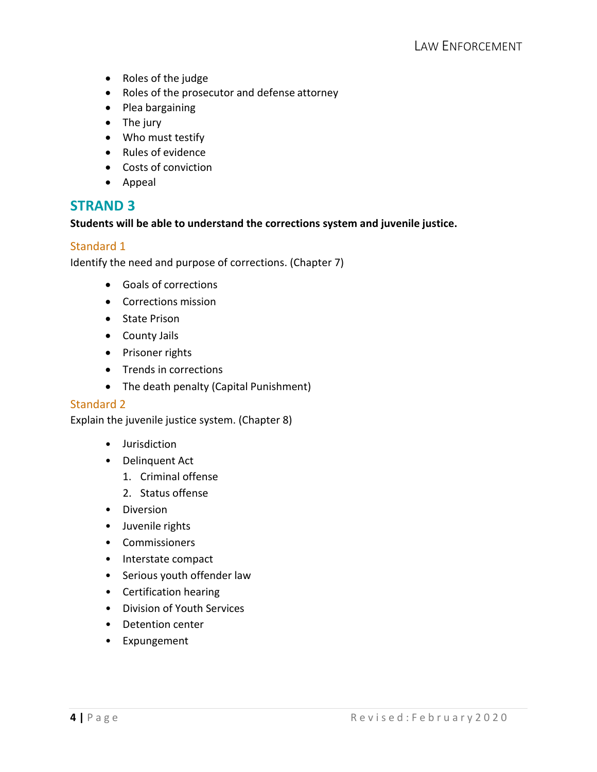- Roles of the judge
- Roles of the prosecutor and defense attorney
- Plea bargaining
- The jury
- Who must testify
- Rules of evidence
- Costs of conviction
- Appeal

#### **Students will be able to understand the corrections system and juvenile justice.**

#### Standard 1

Identify the need and purpose of corrections. (Chapter 7)

- Goals of corrections
- Corrections mission
- State Prison
- County Jails
- Prisoner rights
- Trends in corrections
- The death penalty (Capital Punishment)

#### Standard 2

Explain the juvenile justice system. (Chapter 8)

- Jurisdiction
- • Delinquent Act
	- 1. Criminal offense
	- 2. Status offense
- Diversion
- Juvenile rights
- Commissioners
- Interstate compact
- Serious youth offender law
- Certification hearing
- Division of Youth Services
- Detention center
- Expungement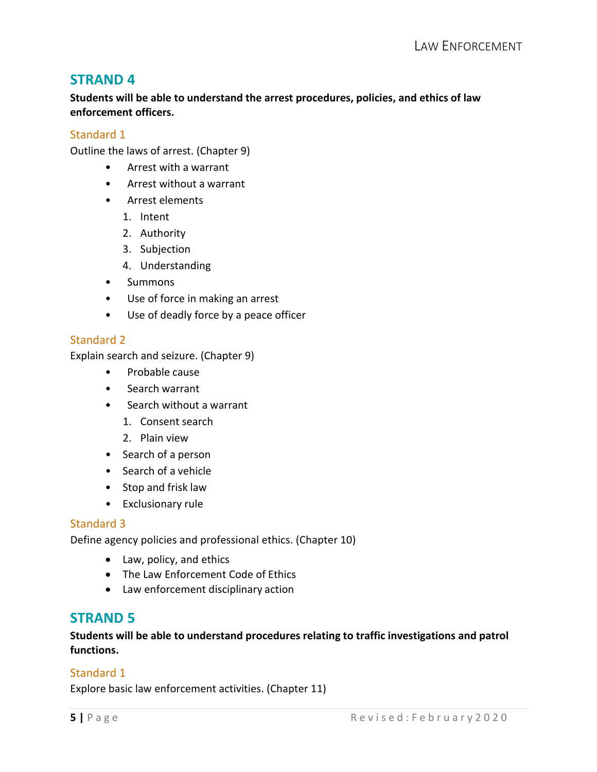**Students will be able to understand the arrest procedures, policies, and ethics of law enforcement officers.** 

#### Standard 1

Outline the laws of arrest. (Chapter 9)

- Arrest with a warrant •
- Arrest without a warrant •
- • Arrest elements
	- 1. Intent
	- 2. Authority
	- 3. Subjection
	- 4. Understanding
- Summons
- Use of force in making an arrest •
- Use of deadly force by a peace officer •

#### Standard 2

Explain search and seizure. (Chapter 9)

- Probable cause •
- Search warrant •
- • Search without a warrant
	- 1. Consent search
	- 2. Plain view
- Search of a person
- Search of a vehicle
- Stop and frisk law
- Exclusionary rule

#### Standard 3

Define agency policies and professional ethics. (Chapter 10)

- Law, policy, and ethics
- The Law Enforcement Code of Ethics
- Law enforcement disciplinary action

## **STRAND 5**

 **Students will be able to understand procedures relating to traffic investigations and patrol functions.** 

#### Standard 1

Explore basic law enforcement activities. (Chapter 11)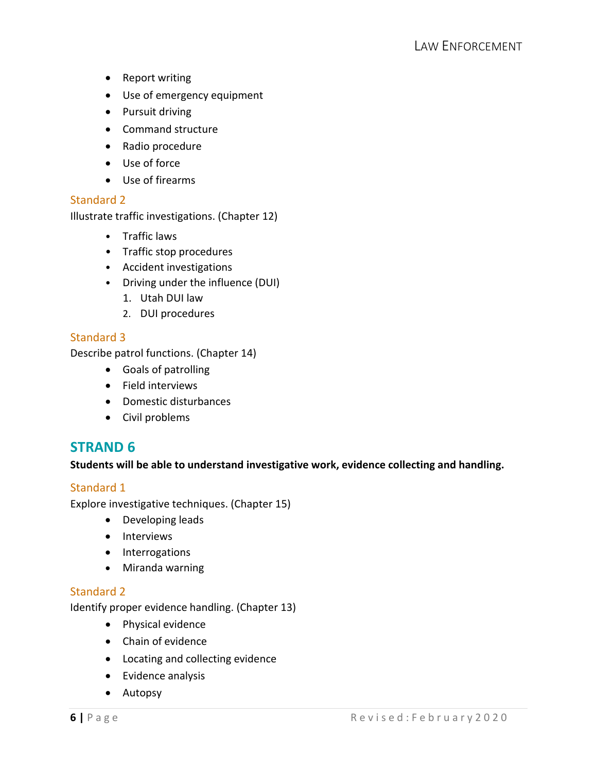- Report writing
- Use of emergency equipment
- Pursuit driving
- Command structure
- Radio procedure
- Use of force
- Use of firearms

#### Standard 2

Illustrate traffic investigations. (Chapter 12)

- Traffic laws
- Traffic stop procedures
- Accident investigations
- Driving under the influence (DUI)
	- 1. Utah DUI law
	- 2. DUI procedures

#### Standard 3

Describe patrol functions. (Chapter 14)

- Goals of patrolling
- Field interviews
- Domestic disturbances
- Civil problems

## **STRAND 6**

#### **Students will be able to understand investigative work, evidence collecting and handling.**

#### Standard 1

Explore investigative techniques. (Chapter 15)

- Developing leads
- Interviews
- Interrogations
- Miranda warning

#### Standard 2

Identify proper evidence handling. (Chapter 13)

- Physical evidence
- Chain of evidence
- Locating and collecting evidence
- Evidence analysis
- Autopsy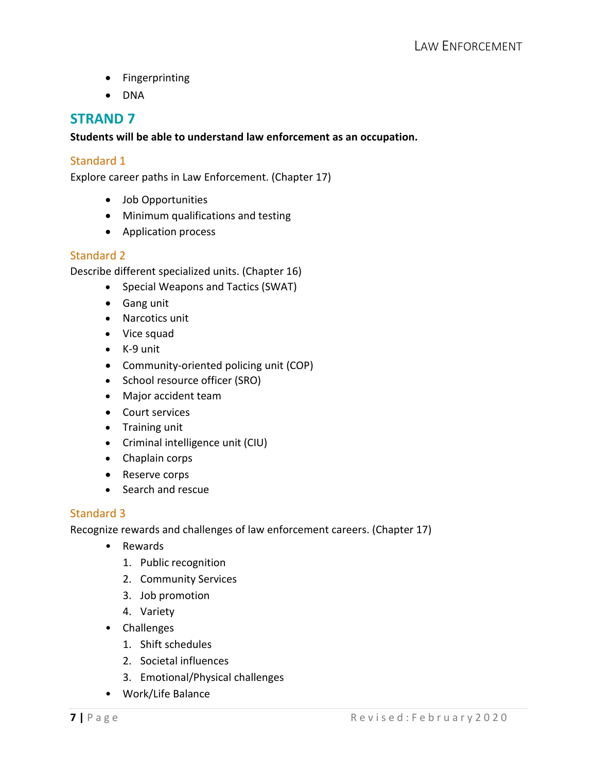- Fingerprinting
- DNA

#### **Students will be able to understand law enforcement as an occupation.**

#### Standard 1

Explore career paths in Law Enforcement. (Chapter 17)

- Job Opportunities
- Minimum qualifications and testing
- Application process

#### Standard 2

Describe different specialized units. (Chapter 16)

- Special Weapons and Tactics (SWAT)
- Gang unit
- Narcotics unit
- Vice squad
- K-9 unit
- Community-oriented policing unit (COP)
- School resource officer (SRO)
- Major accident team
- Court services
- Training unit
- Criminal intelligence unit (CIU)
- Chaplain corps
- Reserve corps
- Search and rescue

#### Standard 3

Recognize rewards and challenges of law enforcement careers. (Chapter 17)

- Rewards
	- 1. Public recognition
	- 2. Community Services
	- 3. Job promotion
	- 4. Variety
- Challenges
	- 1. Shift schedules
	- 2. Societal influences
	- 3. Emotional/Physical challenges
- Work/Life Balance